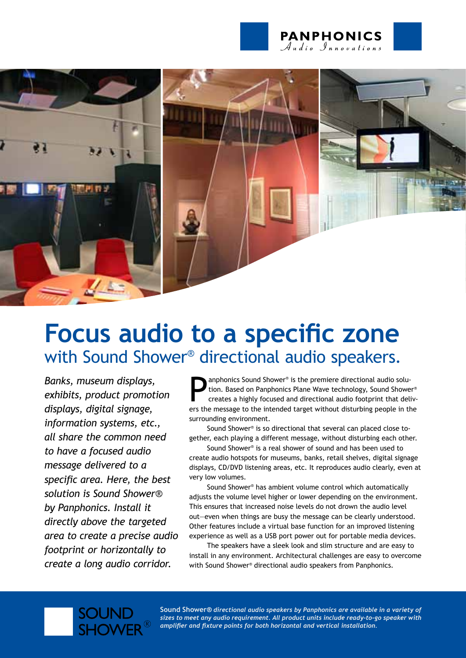



# **Focus audio to a specific zone**  with Sound Shower® directional audio speakers.

*Banks, museum displays, exhibits, product promotion displays, digital signage, information systems, etc., all share the common need to have a focused audio message delivered to a specific area. Here, the best solution is Sound Shower® by Panphonics. Install it directly above the targeted area to create a precise audio footprint or horizontally to create a long audio corridor.*

**SOUN** 

**Example 19 Sound Shower®** is the premiere directional audio solution. Based on Panphonics Plane Wave technology, Sound Shower® creates a highly focused and directional audio footprint that delivers the message to the inte anphonics Sound Shower® is the premiere directional audio solution. Based on Panphonics Plane Wave technology, Sound Shower® creates a highly focused and directional audio footprint that delivsurrounding environment.

Sound Shower® is so directional that several can placed close together, each playing a different message, without disturbing each other.

Sound Shower® is a real shower of sound and has been used to create audio hotspots for museums, banks, retail shelves, digital signage displays, CD/DVD listening areas, etc. It reproduces audio clearly, even at very low volumes.

Sound Shower® has ambient volume control which automatically adjusts the volume level higher or lower depending on the environment. This ensures that increased noise levels do not drown the audio level out—even when things are busy the message can be clearly understood. Other features include a virtual base function for an improved listening experience as well as a USB port power out for portable media devices.

The speakers have a sleek look and slim structure and are easy to install in any environment. Architectural challenges are easy to overcome with Sound Shower® directional audio speakers from Panphonics.